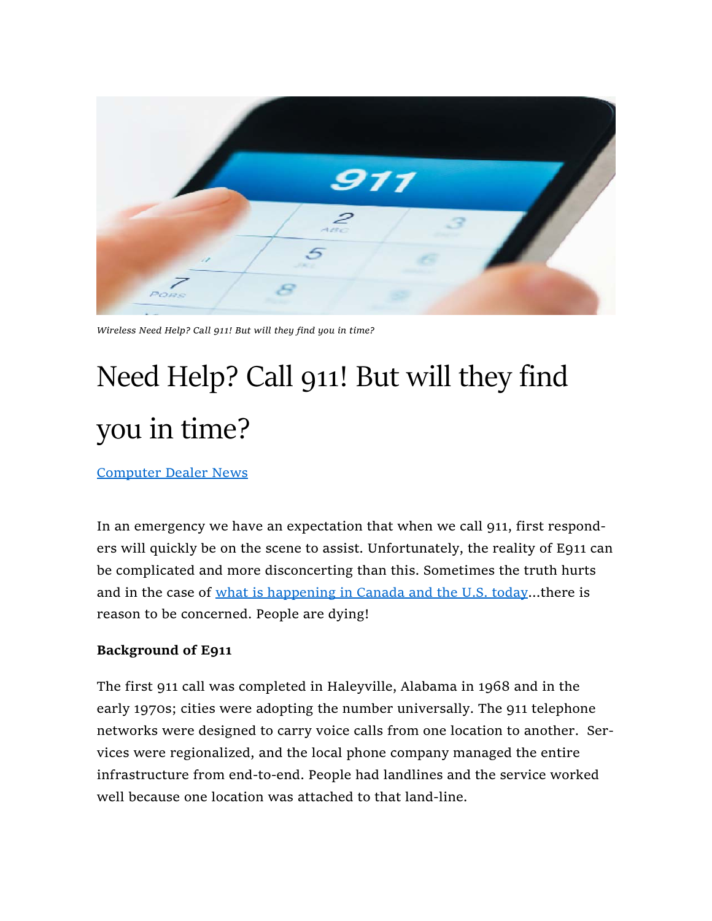

Wireless Need Help? Call 911! But will they find you in time?

# Need Help? Call 911! But will they find you in time?

Computer Dealer News

In an emergency we have an expectation that when we call 911, first responders will quickly be on the scene to assist. Unfortunately, the reality of E911 can be complicated and more disconcerting than this. Sometimes the truth hurts and in the case of what is happening in Canada and the U.S. today...there is reason to be concerned. People are dying!

#### Background of E911

The first 911 call was completed in Haleyville, Alabama in 1968 and in the early 1970s; cities were adopting the number universally. The 911 telephone networks were designed to carry voice calls from one location to another. Services were regionalized, and the local phone company managed the entire infrastructure from end-to-end. People had landlines and the service worked well because one location was attached to that land-line.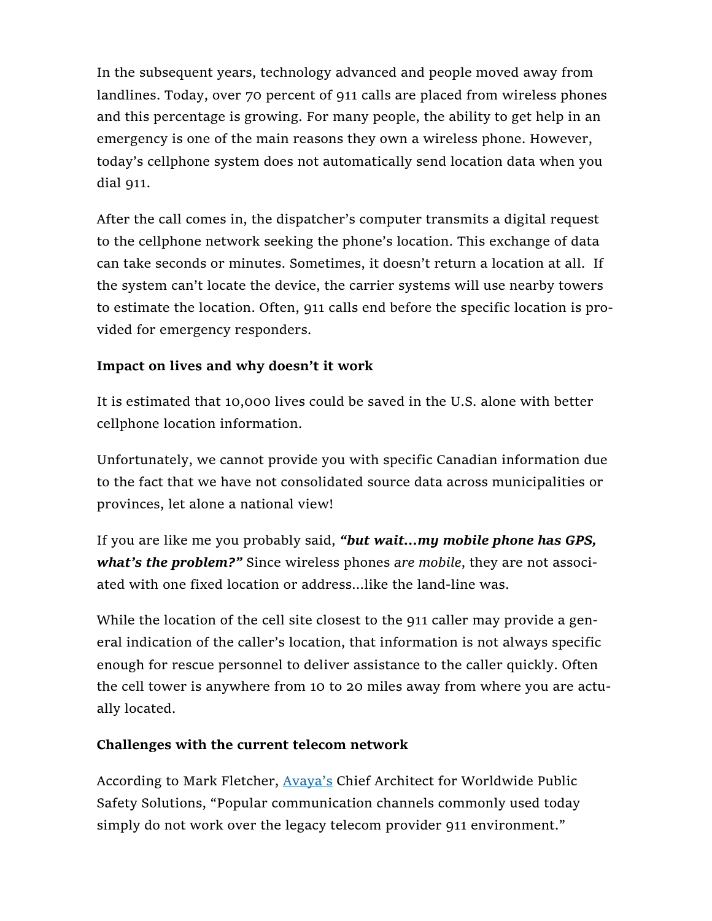In the subsequent years, technology advanced and people moved away from landlines. Today, over 70 percent of 911 calls are placed from wireless phones and this percentage is growing. For many people, the ability to get help in an emergency is one of the main reasons they own a wireless phone. However, today's cellphone system does not automatically send location data when you dial 911.

After the call comes in, the dispatcher's computer transmits a digital request to the cellphone network seeking the phone's location. This exchange of data can take seconds or minutes. Sometimes, it doesn't return a location at all. If the system can't locate the device, the carrier systems will use nearby towers to estimate the location. Often, 911 calls end before the specific location is provided for emergency responders.

## Impact on lives and why doesn't it work

It is estimated that 10,000 lives could be saved in the U.S. alone with better cellphone location information.

Unfortunately, we cannot provide you with specific Canadian information due to the fact that we have not consolidated source data across municipalities or provinces, let alone a national view!

If you are like me you probably said, "but wait...my mobile phone has GPS, what's the problem?" Since wireless phones are mobile, they are not associated with one fixed location or address...like the land-line was.

While the location of the cell site closest to the 911 caller may provide a general indication of the caller's location, that information is not always specific enough for rescue personnel to deliver assistance to the caller quickly. Often the cell tower is anywhere from 10 to 20 miles away from where you are actually located.

#### Challenges with the current telecom network

According to Mark Fletcher, **Avaya's** Chief Architect for Worldwide Public Safety Solutions, "Popular communication channels commonly used today simply do not work over the legacy telecom provider 911 environment."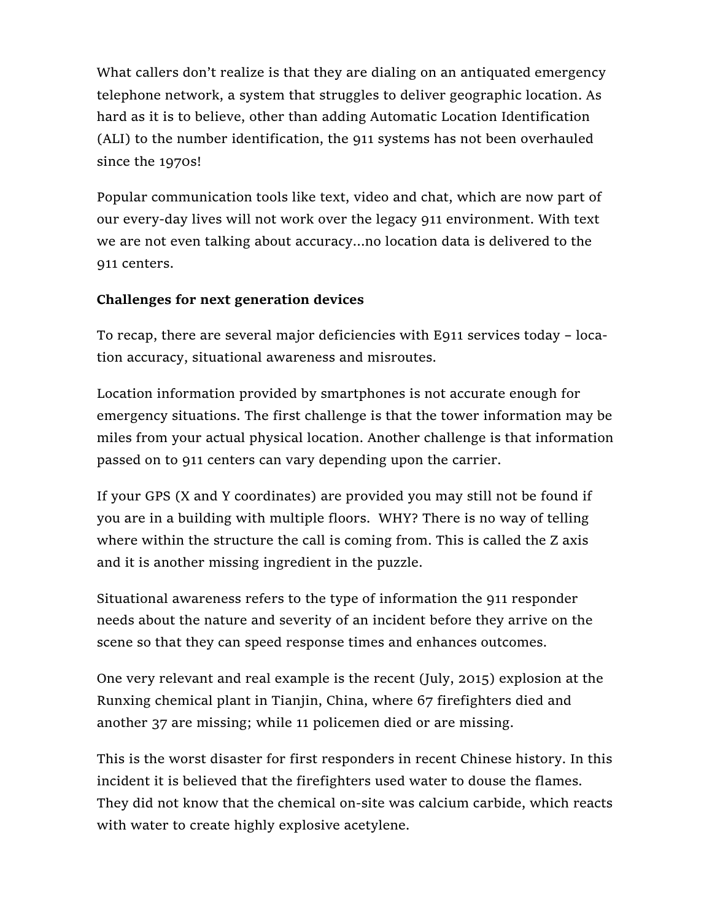What callers don't realize is that they are dialing on an antiquated emergency telephone network, a system that struggles to deliver geographic location. As hard as it is to believe, other than adding Automatic Location Identification (ALI) to the number identification, the 911 systems has not been overhauled since the 1970s!

Popular communication tools like text, video and chat, which are now part of our every-day lives will not work over the legacy 911 environment. With text we are not even talking about accuracy…no location data is delivered to the 911 centers.

## Challenges for next generation devices

To recap, there are several major deficiencies with E911 services today – location accuracy, situational awareness and misroutes.

Location information provided by smartphones is not accurate enough for emergency situations. The first challenge is that the tower information may be miles from your actual physical location. Another challenge is that information passed on to 911 centers can vary depending upon the carrier.

If your GPS (X and Y coordinates) are provided you may still not be found if you are in a building with multiple floors. WHY? There is no way of telling where within the structure the call is coming from. This is called the Z axis and it is another missing ingredient in the puzzle.

Situational awareness refers to the type of information the 911 responder needs about the nature and severity of an incident before they arrive on the scene so that they can speed response times and enhances outcomes.

One very relevant and real example is the recent (July, 2015) explosion at the Runxing chemical plant in Tianjin, China, where 67 firefighters died and another 37 are missing; while 11 policemen died or are missing.

This is the worst disaster for first responders in recent Chinese history. In this incident it is believed that the firefighters used water to douse the flames. They did not know that the chemical on-site was calcium carbide, which reacts with water to create highly explosive acetylene.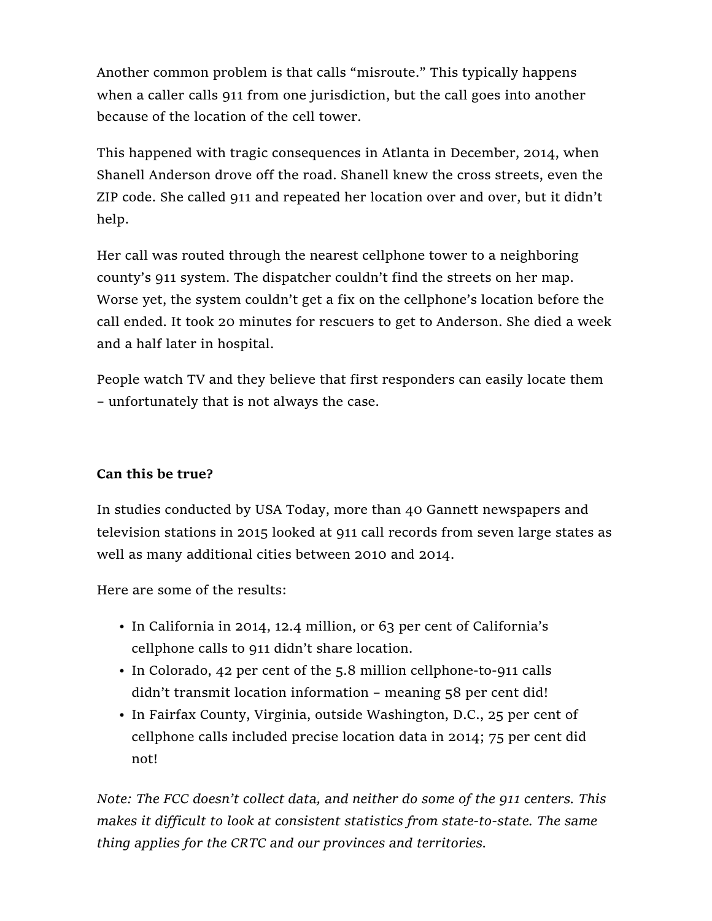Another common problem is that calls "misroute." This typically happens when a caller calls 911 from one jurisdiction, but the call goes into another because of the location of the cell tower.

This happened with tragic consequences in Atlanta in December, 2014, when Shanell Anderson drove off the road. Shanell knew the cross streets, even the ZIP code. She called 911 and repeated her location over and over, but it didn't help.

Her call was routed through the nearest cellphone tower to a neighboring county's 911 system. The dispatcher couldn't find the streets on her map. Worse yet, the system couldn't get a fix on the cellphone's location before the call ended. It took 20 minutes for rescuers to get to Anderson. She died a week and a half later in hospital.

People watch TV and they believe that first responders can easily locate them – unfortunately that is not always the case.

## Can this be true?

In studies conducted by USA Today, more than 40 Gannett newspapers and television stations in 2015 looked at 911 call records from seven large states as well as many additional cities between 2010 and 2014.

Here are some of the results:

- In California in 2014, 12.4 million, or 63 per cent of California's cellphone calls to 911 didn't share location.
- In Colorado, 42 per cent of the 5.8 million cellphone-to-911 calls didn't transmit location information – meaning 58 per cent did!
- In Fairfax County, Virginia, outside Washington, D.C., 25 per cent of cellphone calls included precise location data in 2014; 75 per cent did not!

Note: The FCC doesn't collect data, and neither do some of the 911 centers. This makes it difficult to look at consistent statistics from state-to-state. The same thing applies for the CRTC and our provinces and territories.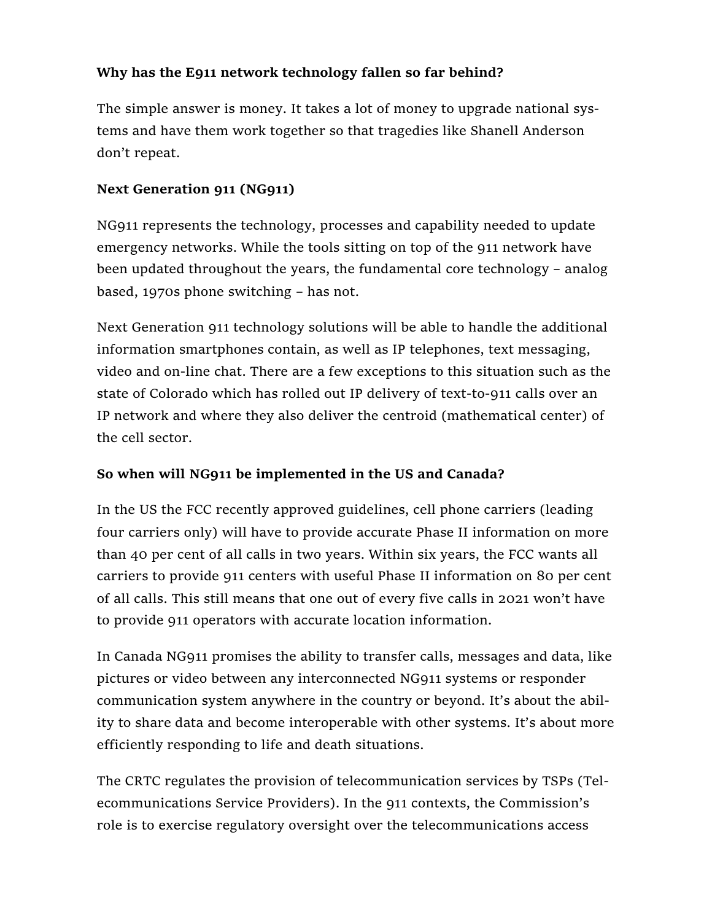## Why has the E911 network technology fallen so far behind?

The simple answer is money. It takes a lot of money to upgrade national systems and have them work together so that tragedies like Shanell Anderson don't repeat.

## Next Generation 911 (NG911)

NG911 represents the technology, processes and capability needed to update emergency networks. While the tools sitting on top of the 911 network have been updated throughout the years, the fundamental core technology – analog based, 1970s phone switching – has not.

Next Generation 911 technology solutions will be able to handle the additional information smartphones contain, as well as IP telephones, text messaging, video and on-line chat. There are a few exceptions to this situation such as the state of Colorado which has rolled out IP delivery of text-to-911 calls over an IP network and where they also deliver the centroid (mathematical center) of the cell sector.

## So when will NG911 be implemented in the US and Canada?

In the US the FCC recently approved guidelines, cell phone carriers (leading four carriers only) will have to provide accurate Phase II information on more than 40 per cent of all calls in two years. Within six years, the FCC wants all carriers to provide 911 centers with useful Phase II information on 80 per cent of all calls. This still means that one out of every five calls in 2021 won't have to provide 911 operators with accurate location information.

In Canada NG911 promises the ability to transfer calls, messages and data, like pictures or video between any interconnected NG911 systems or responder communication system anywhere in the country or beyond. It's about the ability to share data and become interoperable with other systems. It's about more efficiently responding to life and death situations.

The CRTC regulates the provision of telecommunication services by TSPs (Telecommunications Service Providers). In the 911 contexts, the Commission's role is to exercise regulatory oversight over the telecommunications access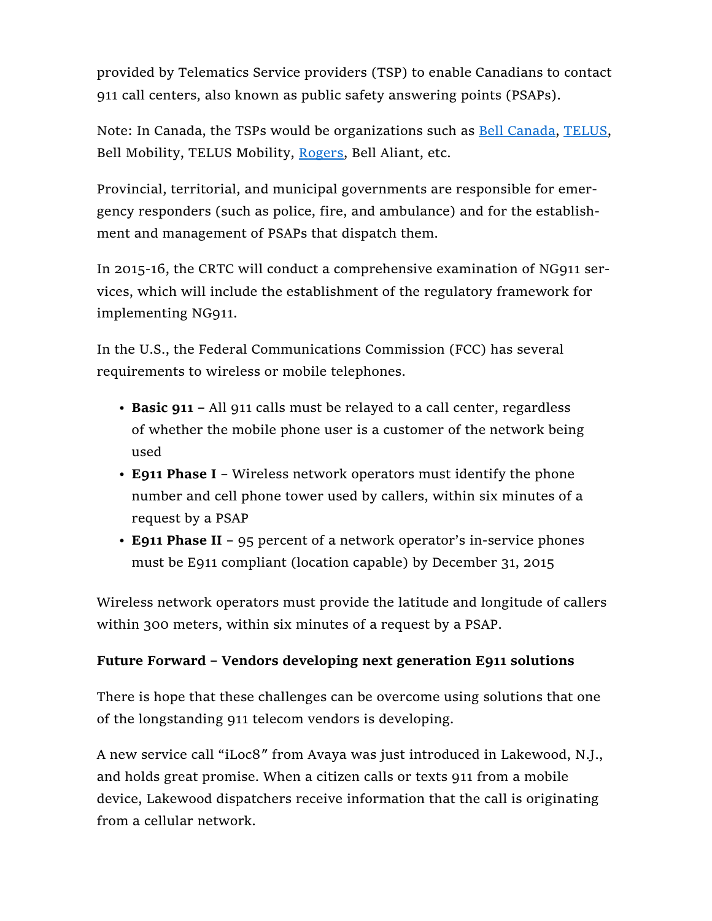provided by Telematics Service providers (TSP) to enable Canadians to contact 911 call centers, also known as public safety answering points (PSAPs).

Note: In Canada, the TSPs would be organizations such as Bell Canada, TELUS, Bell Mobility, TELUS Mobility, Rogers, Bell Aliant, etc.

Provincial, territorial, and municipal governments are responsible for emergency responders (such as police, fire, and ambulance) and for the establishment and management of PSAPs that dispatch them.

In 2015-16, the CRTC will conduct a comprehensive examination of NG911 services, which will include the establishment of the regulatory framework for implementing NG911.

In the U.S., the Federal Communications Commission (FCC) has several requirements to wireless or mobile telephones.

- Basic 911 All 911 calls must be relayed to a call center, regardless of whether the mobile phone user is a customer of the network being used
- E911 Phase I Wireless network operators must identify the phone number and cell phone tower used by callers, within six minutes of a request by a PSAP
- E911 Phase II 95 percent of a network operator's in-service phones must be E911 compliant (location capable) by December 31, 2015

Wireless network operators must provide the latitude and longitude of callers within 300 meters, within six minutes of a request by a PSAP.

## Future Forward – Vendors developing next generation E911 solutions

There is hope that these challenges can be overcome using solutions that one of the longstanding 911 telecom vendors is developing.

A new service call "iLoc8″ from Avaya was just introduced in Lakewood, N.J., and holds great promise. When a citizen calls or texts 911 from a mobile device, Lakewood dispatchers receive information that the call is originating from a cellular network.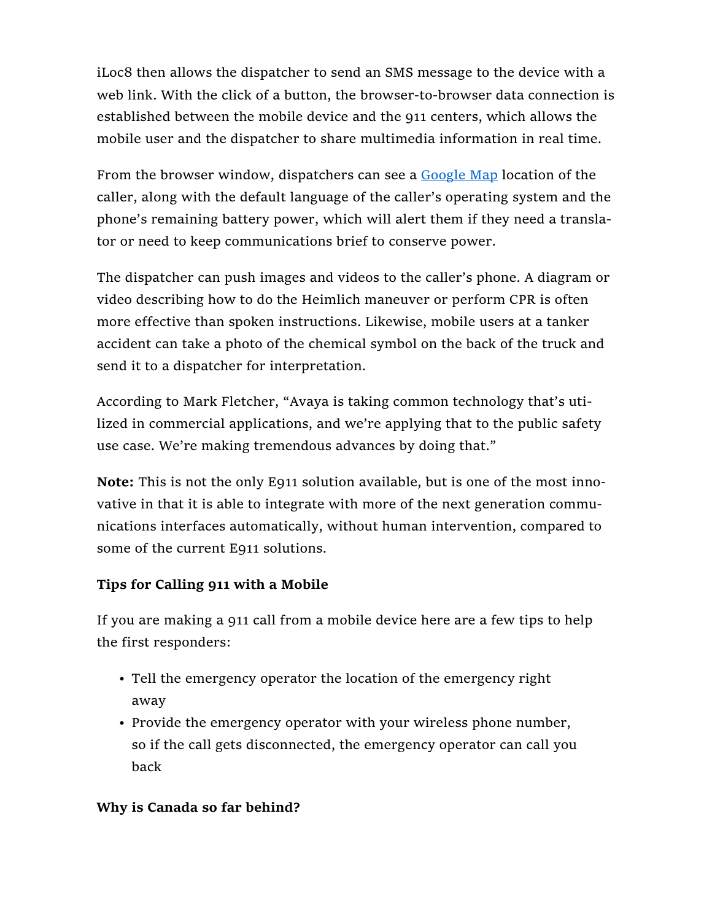iLoc8 then allows the dispatcher to send an SMS message to the device with a web link. With the click of a button, the browser-to-browser data connection is established between the mobile device and the 911 centers, which allows the mobile user and the dispatcher to share multimedia information in real time.

From the browser window, dispatchers can see a Google Map location of the caller, along with the default language of the caller's operating system and the phone's remaining battery power, which will alert them if they need a translator or need to keep communications brief to conserve power.

The dispatcher can push images and videos to the caller's phone. A diagram or video describing how to do the Heimlich maneuver or perform CPR is often more effective than spoken instructions. Likewise, mobile users at a tanker accident can take a photo of the chemical symbol on the back of the truck and send it to a dispatcher for interpretation.

According to Mark Fletcher, "Avaya is taking common technology that's utilized in commercial applications, and we're applying that to the public safety use case. We're making tremendous advances by doing that."

Note: This is not the only E911 solution available, but is one of the most innovative in that it is able to integrate with more of the next generation communications interfaces automatically, without human intervention, compared to some of the current E911 solutions.

# Tips for Calling 911 with a Mobile

If you are making a 911 call from a mobile device here are a few tips to help the first responders:

- Tell the emergency operator the location of the emergency right away
- Provide the emergency operator with your wireless phone number, so if the call gets disconnected, the emergency operator can call you back

## Why is Canada so far behind?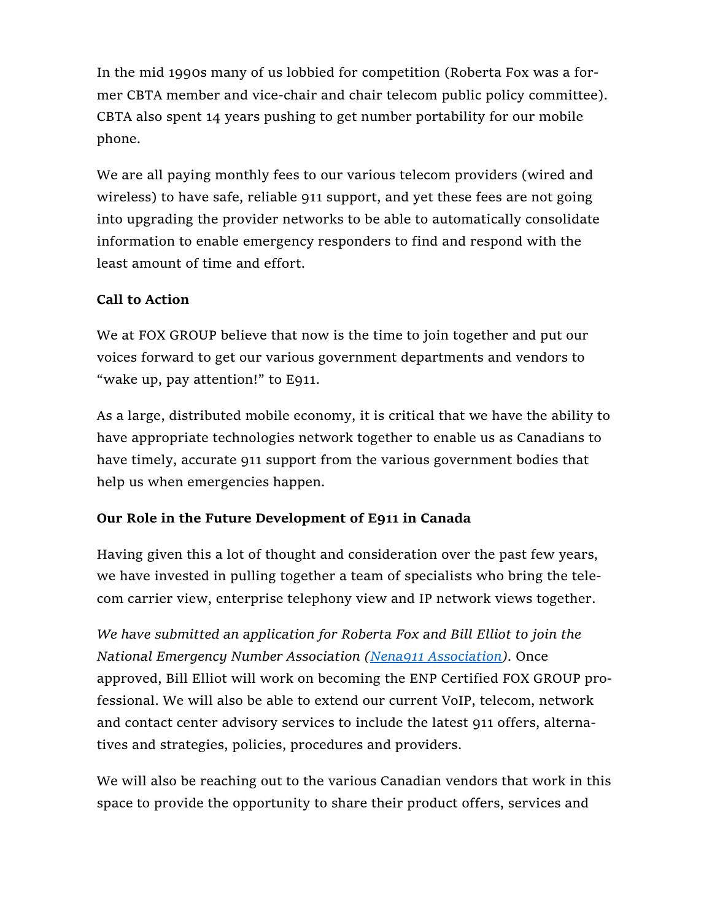In the mid 1990s many of us lobbied for competition (Roberta Fox was a former CBTA member and vice-chair and chair telecom public policy committee). CBTA also spent 14 years pushing to get number portability for our mobile phone.

We are all paying monthly fees to our various telecom providers (wired and wireless) to have safe, reliable 911 support, and yet these fees are not going into upgrading the provider networks to be able to automatically consolidate information to enable emergency responders to find and respond with the least amount of time and effort.

## Call to Action

We at FOX GROUP believe that now is the time to join together and put our voices forward to get our various government departments and vendors to "wake up, pay attention!" to E911.

As a large, distributed mobile economy, it is critical that we have the ability to have appropriate technologies network together to enable us as Canadians to have timely, accurate 911 support from the various government bodies that help us when emergencies happen.

# Our Role in the Future Development of E911 in Canada

Having given this a lot of thought and consideration over the past few years, we have invested in pulling together a team of specialists who bring the telecom carrier view, enterprise telephony view and IP network views together.

We have submitted an application for Roberta Fox and Bill Elliot to join the National Emergency Number Association (Nena911 Association). Once approved, Bill Elliot will work on becoming the ENP Certified FOX GROUP professional. We will also be able to extend our current VoIP, telecom, network and contact center advisory services to include the latest 911 offers, alternatives and strategies, policies, procedures and providers.

We will also be reaching out to the various Canadian vendors that work in this space to provide the opportunity to share their product offers, services and